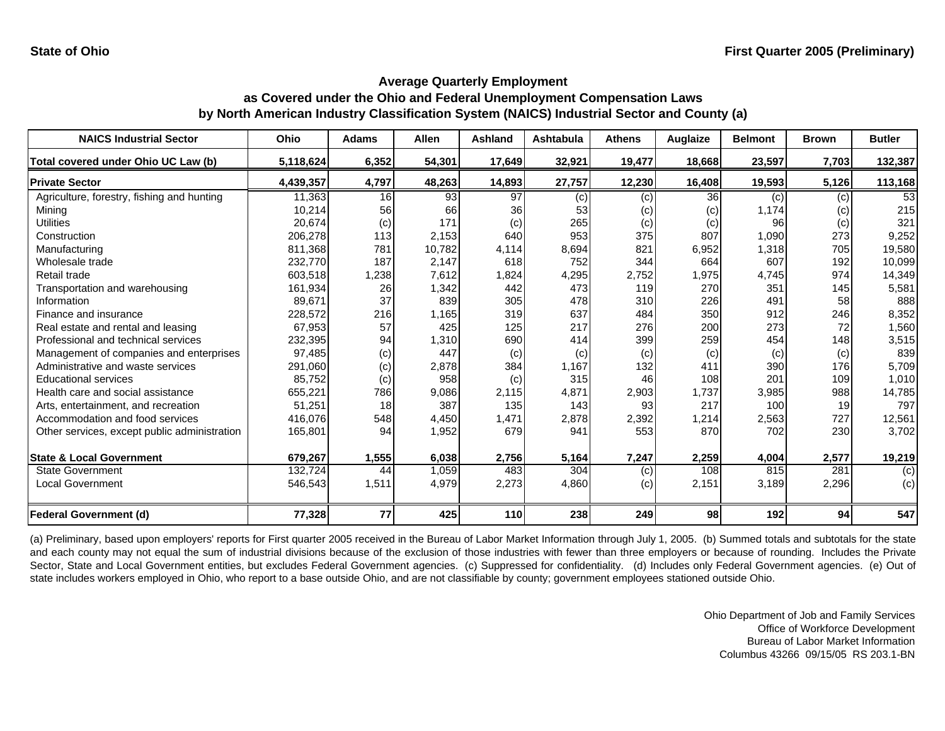| <b>NAICS Industrial Sector</b>               | Ohio      | <b>Adams</b> | <b>Allen</b> | <b>Ashland</b> | <b>Ashtabula</b> | <b>Athens</b> | Auglaize | <b>Belmont</b> | <b>Brown</b> | <b>Butler</b> |
|----------------------------------------------|-----------|--------------|--------------|----------------|------------------|---------------|----------|----------------|--------------|---------------|
| Total covered under Ohio UC Law (b)          | 5,118,624 | 6,352        | 54,301       | 17,649         | 32,921           | 19,477        | 18,668   | 23,597         | 7,703        | 132,387       |
| <b>Private Sector</b>                        | 4,439,357 | 4,797        | 48,263       | 14,893         | 27,757           | 12,230        | 16,408   | 19,593         | 5,126        | 113,168       |
| Agriculture, forestry, fishing and hunting   | 11,363    | 16           | 93           | 97             | (c)              | (c)           | 36       | (c)            | (c)          | 53            |
| Mining                                       | 10,214    | 56           | 66           | 36             | 53               | (c)           | (c)      | 1,174          | (c)          | 215           |
| <b>Utilities</b>                             | 20,674    | (c)          | 171          | (c)            | 265              | (c)           | (c)      | 96             | (c)          | 321           |
| Construction                                 | 206,278   | 113          | 2,153        | 640            | 953              | 375           | 807      | 1,090          | 273          | 9,252         |
| Manufacturing                                | 811,368   | 781          | 10,782       | 4,114          | 8,694            | 821           | 6,952    | 1,318          | 705          | 19,580        |
| Wholesale trade                              | 232,770   | 187          | 2,147        | 618            | 752              | 344           | 664      | 607            | 192          | 10,099        |
| Retail trade                                 | 603,518   | 1,238        | 7,612        | 1,824          | 4,295            | 2,752         | 1,975    | 4,745          | 974          | 14,349        |
| Transportation and warehousing               | 161,934   | 26           | 1,342        | 442            | 473              | 119           | 270      | 351            | 145          | 5,581         |
| Information                                  | 89,671    | 37           | 839          | 305            | 478              | 310           | 226      | 491            | 58           | 888           |
| Finance and insurance                        | 228,572   | 216          | 1,165        | 319            | 637              | 484           | 350      | 912            | 246          | 8,352         |
| Real estate and rental and leasing           | 67,953    | 57           | 425          | 125            | 217              | 276           | 200      | 273            | 72           | 1,560         |
| Professional and technical services          | 232,395   | 94           | 1,310        | 690            | 414              | 399           | 259      | 454            | 148          | 3,515         |
| Management of companies and enterprises      | 97,485    | (c)          | 447          | (c)            | (c)              | (c)           | (c)      | (c)            | (c)          | 839           |
| Administrative and waste services            | 291,060   | (c)          | 2,878        | 384            | 1,167            | 132           | 411      | 390            | 176          | 5,709         |
| <b>Educational services</b>                  | 85,752    | (c)          | 958          | (c)            | 315              | 46            | 108      | 201            | 109          | 1,010         |
| Health care and social assistance            | 655,221   | 786          | 9,086        | 2,115          | 4,871            | 2,903         | 1,737    | 3,985          | 988          | 14,785        |
| Arts, entertainment, and recreation          | 51,251    | 18           | 387          | 135            | 143              | 93            | 217      | 100            | 19           | 797           |
| Accommodation and food services              | 416,076   | 548          | 4,450        | 1,471          | 2,878            | 2,392         | 1,214    | 2,563          | 727          | 12,561        |
| Other services, except public administration | 165,801   | 94           | 1,952        | 679            | 941              | 553           | 870      | 702            | 230          | 3,702         |
| <b>State &amp; Local Government</b>          | 679,267   | 1,555        | 6,038        | 2,756          | 5,164            | 7,247         | 2,259    | 4,004          | 2,577        | 19,219        |
| <b>State Government</b>                      | 132,724   | 44           | 1,059        | 483            | 304              | (c)           | 108      | 815            | 281          | (c)           |
| <b>Local Government</b>                      | 546,543   | 1,511        | 4,979        | 2,273          | 4,860            | (c)           | 2,151    | 3,189          | 2,296        | (c)           |
| <b>Federal Government (d)</b>                | 77,328    | 77           | 425          | 110            | 238              | 249           | 98       | 192            | 94           | 547           |

(a) Preliminary, based upon employers' reports for First quarter 2005 received in the Bureau of Labor Market Information through July 1, 2005. (b) Summed totals and subtotals for the state and each county may not equal the sum of industrial divisions because of the exclusion of those industries with fewer than three employers or because of rounding. Includes the Private Sector, State and Local Government entities, but excludes Federal Government agencies. (c) Suppressed for confidentiality. (d) Includes only Federal Government agencies. (e) Out of state includes workers employed in Ohio, who report to a base outside Ohio, and are not classifiable by county; government employees stationed outside Ohio.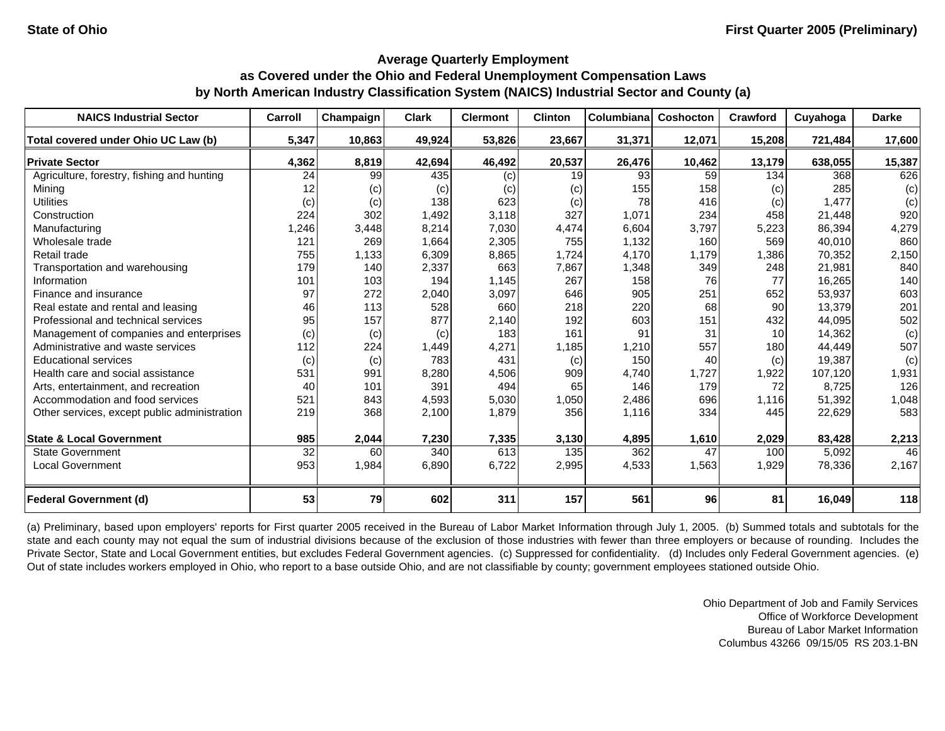| <b>NAICS Industrial Sector</b>               | Carroll | Champaign | <b>Clark</b> | <b>Clermont</b> | <b>Clinton</b> | Columbiana | Coshocton | Crawford        | Cuyahoga | <b>Darke</b> |
|----------------------------------------------|---------|-----------|--------------|-----------------|----------------|------------|-----------|-----------------|----------|--------------|
| Total covered under Ohio UC Law (b)          | 5,347   | 10,863    | 49,924       | 53,826          | 23,667         | 31,371     | 12,071    | 15,208          | 721,484  | 17,600       |
| <b>Private Sector</b>                        | 4,362   | 8,819     | 42,694       | 46,492          | 20,537         | 26,476     | 10,462    | 13,179          | 638,055  | 15,387       |
| Agriculture, forestry, fishing and hunting   | 24      | 99        | 435          | (c)             | 19             | 93         | 59        | 134             | 368      | 626          |
| Mining                                       | 12      | (c)       | (c)          | (c)             | (c)            | 155        | 158       | (c)             | 285      | (c)          |
| <b>Utilities</b>                             | (c)     | (c)       | 138          | 623             | (c)            | 78         | 416       | (c)             | 1,477    | (c)          |
| Construction                                 | 224     | 302       | 1,492        | 3,118           | 327            | 1,071      | 234       | 458             | 21,448   | 920          |
| Manufacturing                                | 1,246   | 3,448     | 8,214        | 7,030           | 4,474          | 6,604      | 3,797     | 5,223           | 86,394   | 4,279        |
| Wholesale trade                              | 121     | 269       | 1,664        | 2,305           | 755            | 1,132      | 160       | 569             | 40,010   | 860          |
| Retail trade                                 | 755     | 1,133     | 6,309        | 8,865           | 1,724          | 4,170      | 1,179     | 1,386           | 70,352   | 2,150        |
| Transportation and warehousing               | 179     | 140       | 2,337        | 663             | 7,867          | 1,348      | 349       | 248             | 21,981   | 840          |
| Information                                  | 101     | 103       | 194          | 1,145           | 267            | 158        | 76        | 77              | 16,265   | 140          |
| Finance and insurance                        | 97      | 272       | 2,040        | 3,097           | 646            | 905        | 251       | 652             | 53,937   | 603          |
| Real estate and rental and leasing           | 46      | 113       | 528          | 660             | 218            | 220        | 68        | 90              | 13,379   | 201          |
| Professional and technical services          | 95      | 157       | 877          | 2,140           | 192            | 603        | 151       | 432             | 44,095   | 502          |
| Management of companies and enterprises      | (c)     | (c)       | (c)          | 183             | 161            | 91         | 31        | 10 <sup>1</sup> | 14,362   | (c)          |
| Administrative and waste services            | 112     | 224       | 1,449        | 4,271           | 1,185          | 1,210      | 557       | 180             | 44,449   | 507          |
| <b>Educational services</b>                  | (c)     | (c)       | 783          | 431             | (c)            | 150        | 40        | (c)             | 19,387   | (c)          |
| Health care and social assistance            | 531     | 991       | 8,280        | 4,506           | 909            | 4,740      | 1,727     | 1,922           | 107,120  | 1,931        |
| Arts, entertainment, and recreation          | 40      | 101       | 391          | 494             | 65             | 146        | 179       | 72              | 8,725    | 126          |
| Accommodation and food services              | 521     | 843       | 4,593        | 5,030           | 1,050          | 2,486      | 696       | 1,116           | 51,392   | 1,048        |
| Other services, except public administration | 219     | 368       | 2,100        | 1,879           | 356            | 1,116      | 334       | 445             | 22,629   | 583          |
| <b>State &amp; Local Government</b>          | 985     | 2,044     | 7,230        | 7,335           | 3,130          | 4,895      | 1,610     | 2,029           | 83,428   | 2,213        |
| <b>State Government</b>                      | 32      | 60        | 340          | 613             | 135            | 362        | 47        | 100             | 5,092    | 46           |
| <b>Local Government</b>                      | 953     | 1,984     | 6,890        | 6,722           | 2,995          | 4,533      | 1,563     | 1,929           | 78,336   | 2,167        |
| <b>Federal Government (d)</b>                | 53      | 79        | 602          | 311             | 157            | 561        | 96        | 81              | 16,049   | 118          |

(a) Preliminary, based upon employers' reports for First quarter 2005 received in the Bureau of Labor Market Information through July 1, 2005. (b) Summed totals and subtotals for the state and each county may not equal the sum of industrial divisions because of the exclusion of those industries with fewer than three employers or because of rounding. Includes the Private Sector, State and Local Government entities, but excludes Federal Government agencies. (c) Suppressed for confidentiality. (d) Includes only Federal Government agencies. (e) Out of state includes workers employed in Ohio, who report to a base outside Ohio, and are not classifiable by county; government employees stationed outside Ohio.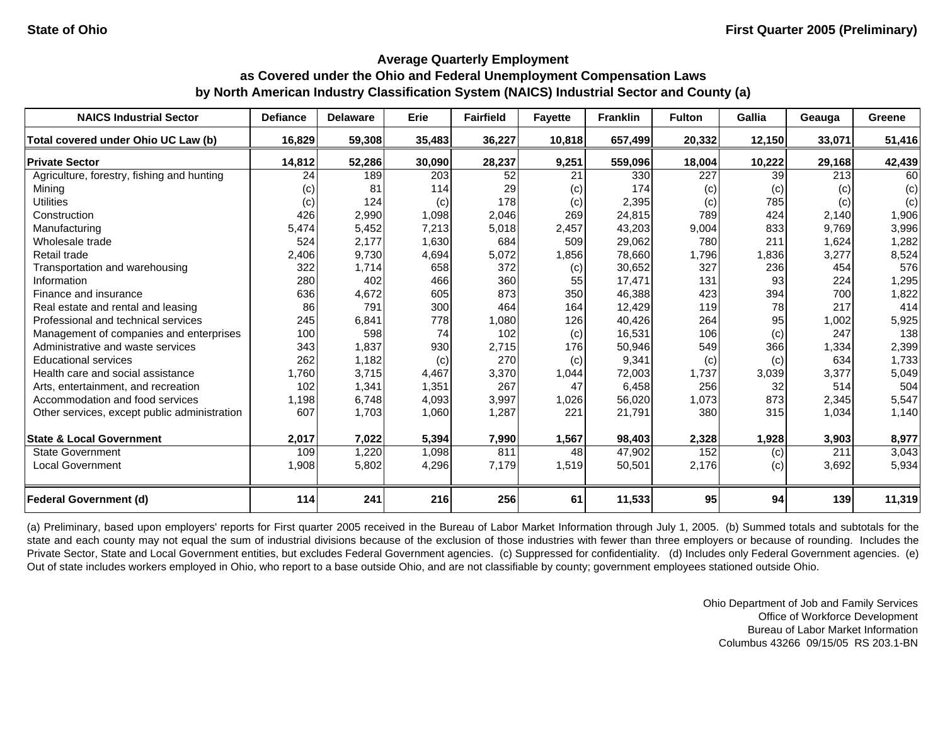| <b>NAICS Industrial Sector</b>               | <b>Defiance</b> | <b>Delaware</b> | Erie   | <b>Fairfield</b> | <b>Fayette</b> | <b>Franklin</b> | <b>Fulton</b> | Gallia | Geauga | Greene |
|----------------------------------------------|-----------------|-----------------|--------|------------------|----------------|-----------------|---------------|--------|--------|--------|
| Total covered under Ohio UC Law (b)          | 16,829          | 59,308          | 35,483 | 36,227           | 10,818         | 657,499         | 20,332        | 12,150 | 33,071 | 51,416 |
| <b>Private Sector</b>                        | 14,812          | 52,286          | 30,090 | 28,237           | 9,251          | 559,096         | 18,004        | 10,222 | 29,168 | 42,439 |
| Agriculture, forestry, fishing and hunting   | 24              | 189             | 203    | 52               | 21             | 330             | 227           | 39     | 213    | 60     |
| Mining                                       | (c)             | 81              | 114    | 29               | (c)            | 174             | (c)           | (c)    | (c)    | (c)    |
| <b>Utilities</b>                             | (c)             | 124             | (c)    | 178              | (c)            | 2,395           | (c)           | 785    | (c)    | (c)    |
| Construction                                 | 426             | 2,990           | 1,098  | 2,046            | 269            | 24,815          | 789           | 424    | 2,140  | 1,906  |
| Manufacturing                                | 5,474           | 5,452           | 7,213  | 5,018            | 2,457          | 43,203          | 9,004         | 833    | 9,769  | 3,996  |
| Wholesale trade                              | 524             | 2,177           | 1,630  | 684              | 509            | 29,062          | 780           | 211    | 1,624  | 1,282  |
| Retail trade                                 | 2,406           | 9,730           | 4,694  | 5,072            | 1,856          | 78,660          | 1,796         | 1,836  | 3,277  | 8,524  |
| Transportation and warehousing               | 322             | 1,714           | 658    | 372              | (c)            | 30,652          | 327           | 236    | 454    | 576    |
| Information                                  | 280             | 402             | 466    | 360              | 55             | 17,471          | 131           | 93     | 224    | 1,295  |
| Finance and insurance                        | 636             | 4,672           | 605    | 873              | 350            | 46,388          | 423           | 394    | 700    | 1,822  |
| Real estate and rental and leasing           | 86              | 791             | 300    | 464              | 164            | 12,429          | 119           | 78     | 217    | 414    |
| Professional and technical services          | 245             | 6,841           | 778    | 1,080            | 126            | 40,426          | 264           | 95     | 1,002  | 5,925  |
| Management of companies and enterprises      | 100             | 598             | 74     | 102              | (c)            | 16,531          | 106           | (c)    | 247    | 138    |
| Administrative and waste services            | 343             | 1,837           | 930    | 2,715            | 176            | 50,946          | 549           | 366    | 1,334  | 2,399  |
| <b>Educational services</b>                  | 262             | 1,182           | (c)    | 270              | (c)            | 9,341           | (c)           | (c)    | 634    | 1,733  |
| Health care and social assistance            | 1,760           | 3,715           | 4,467  | 3,370            | 1,044          | 72,003          | 1,737         | 3,039  | 3,377  | 5,049  |
| Arts, entertainment, and recreation          | 102             | 1,341           | 1,351  | 267              | 47             | 6,458           | 256           | 32     | 514    | 504    |
| Accommodation and food services              | 1,198           | 6,748           | 4,093  | 3,997            | 1,026          | 56,020          | 1,073         | 873    | 2,345  | 5,547  |
| Other services, except public administration | 607             | 1,703           | 1,060  | 1,287            | 221            | 21,791          | 380           | 315    | 1,034  | 1,140  |
| <b>State &amp; Local Government</b>          | 2,017           | 7,022           | 5,394  | 7,990            | 1,567          | 98,403          | 2,328         | 1,928  | 3,903  | 8,977  |
| <b>State Government</b>                      | 109             | 1,220           | 1,098  | 811              | 48             | 47,902          | 152           | (c)    | 211    | 3,043  |
| <b>Local Government</b>                      | 1,908           | 5,802           | 4,296  | 7,179            | 1,519          | 50,501          | 2,176         | (c)    | 3,692  | 5,934  |
| <b>Federal Government (d)</b>                | 114             | 241             | 216    | 256              | 61             | 11,533          | 95            | 94     | 139    | 11,319 |

(a) Preliminary, based upon employers' reports for First quarter 2005 received in the Bureau of Labor Market Information through July 1, 2005. (b) Summed totals and subtotals for the state and each county may not equal the sum of industrial divisions because of the exclusion of those industries with fewer than three employers or because of rounding. Includes the Private Sector, State and Local Government entities, but excludes Federal Government agencies. (c) Suppressed for confidentiality. (d) Includes only Federal Government agencies. (e) Out of state includes workers employed in Ohio, who report to a base outside Ohio, and are not classifiable by county; government employees stationed outside Ohio.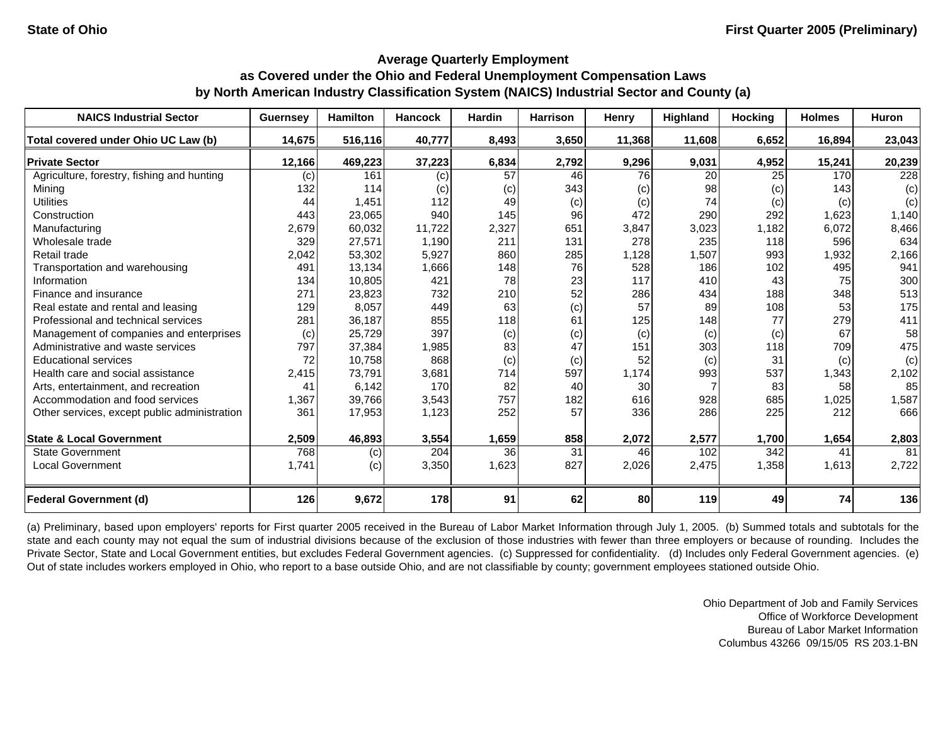| <b>NAICS Industrial Sector</b>               | <b>Guernsey</b> | <b>Hamilton</b> | <b>Hancock</b> | <b>Hardin</b> | <b>Harrison</b> | Henry  | Highland | <b>Hocking</b> | <b>Holmes</b> | <b>Huron</b> |
|----------------------------------------------|-----------------|-----------------|----------------|---------------|-----------------|--------|----------|----------------|---------------|--------------|
| Total covered under Ohio UC Law (b)          | 14,675          | 516,116         | 40,777         | 8,493         | 3,650           | 11,368 | 11,608   | 6,652          | 16,894        | 23,043       |
| <b>Private Sector</b>                        | 12,166          | 469,223         | 37,223         | 6,834         | 2,792           | 9,296  | 9,031    | 4,952          | 15,241        | 20,239       |
| Agriculture, forestry, fishing and hunting   | (c)             | 161             | (c)            | 57            | 46              | 76     | 20       | 25             | 170           | 228          |
| Mining                                       | 132             | 114             | (c)            | (c)           | 343             | (c)    | 98       | (c)            | 143           | (c)          |
| <b>Utilities</b>                             | 44              | 1,451           | 112            | 49            | (c)             | (c)    | 74       | (c)            | (c)           | (c)          |
| Construction                                 | 443             | 23,065          | 940            | 145           | 96              | 472    | 290      | 292            | 1,623         | 1,140        |
| Manufacturing                                | 2,679           | 60,032          | 11,722         | 2,327         | 651             | 3,847  | 3,023    | 1,182          | 6,072         | 8,466        |
| Wholesale trade                              | 329             | 27,571          | 1,190          | 211           | 131             | 278    | 235      | 118            | 596           | 634          |
| Retail trade                                 | 2,042           | 53,302          | 5,927          | 860           | 285             | 1,128  | 1,507    | 993            | 1,932         | 2,166        |
| Transportation and warehousing               | 491             | 13,134          | 1,666          | 148           | 76              | 528    | 186      | 102            | 495           | 941          |
| Information                                  | 134             | 10,805          | 421            | 78            | 23              | 117    | 410      | 43             | 75            | 300          |
| Finance and insurance                        | 271             | 23,823          | 732            | 210           | 52              | 286    | 434      | 188            | 348           | 513          |
| Real estate and rental and leasing           | 129             | 8,057           | 449            | 63            | (c)             | 57     | 89       | 108            | 53            | 175          |
| Professional and technical services          | 281             | 36,187          | 855            | 118           | 61              | 125    | 148      | 77             | 279           | 411          |
| Management of companies and enterprises      | (c)             | 25,729          | 397            | (c)           | (c)             | (c)    | (c)      | (c)            | 67            | 58           |
| Administrative and waste services            | 797             | 37,384          | 1,985          | 83            | 47              | 151    | 303      | 118            | 709           | 475          |
| <b>Educational services</b>                  | 72              | 10,758          | 868            | (c)           | (c)             | 52     | (c)      | 31             | (c)           | (c)          |
| Health care and social assistance            | 2,415           | 73,791          | 3,681          | 714           | 597             | 1,174  | 993      | 537            | 1,343         | 2,102        |
| Arts, entertainment, and recreation          | 41              | 6,142           | 170            | 82            | 40              | 30     |          | 83             | 58            | 85           |
| Accommodation and food services              | 1,367           | 39,766          | 3,543          | 757           | 182             | 616    | 928      | 685            | 1,025         | 1,587        |
| Other services, except public administration | 361             | 17,953          | 1,123          | 252           | 57              | 336    | 286      | 225            | 212           | 666          |
| <b>State &amp; Local Government</b>          | 2,509           | 46,893          | 3,554          | 1,659         | 858             | 2,072  | 2,577    | 1,700          | 1,654         | 2,803        |
| <b>State Government</b>                      | 768             | (c)             | 204            | 36            | 31              | 46     | 102      | 342            | 41            | 81           |
| <b>Local Government</b>                      | 1,741           | (c)             | 3,350          | 1,623         | 827             | 2,026  | 2,475    | 1,358          | 1,613         | 2,722        |
| <b>Federal Government (d)</b>                | 126             | 9,672           | 178            | 91            | 62              | 80     | 119      | 49             | 74            | 136          |

(a) Preliminary, based upon employers' reports for First quarter 2005 received in the Bureau of Labor Market Information through July 1, 2005. (b) Summed totals and subtotals for the state and each county may not equal the sum of industrial divisions because of the exclusion of those industries with fewer than three employers or because of rounding. Includes the Private Sector, State and Local Government entities, but excludes Federal Government agencies. (c) Suppressed for confidentiality. (d) Includes only Federal Government agencies. (e) Out of state includes workers employed in Ohio, who report to a base outside Ohio, and are not classifiable by county; government employees stationed outside Ohio.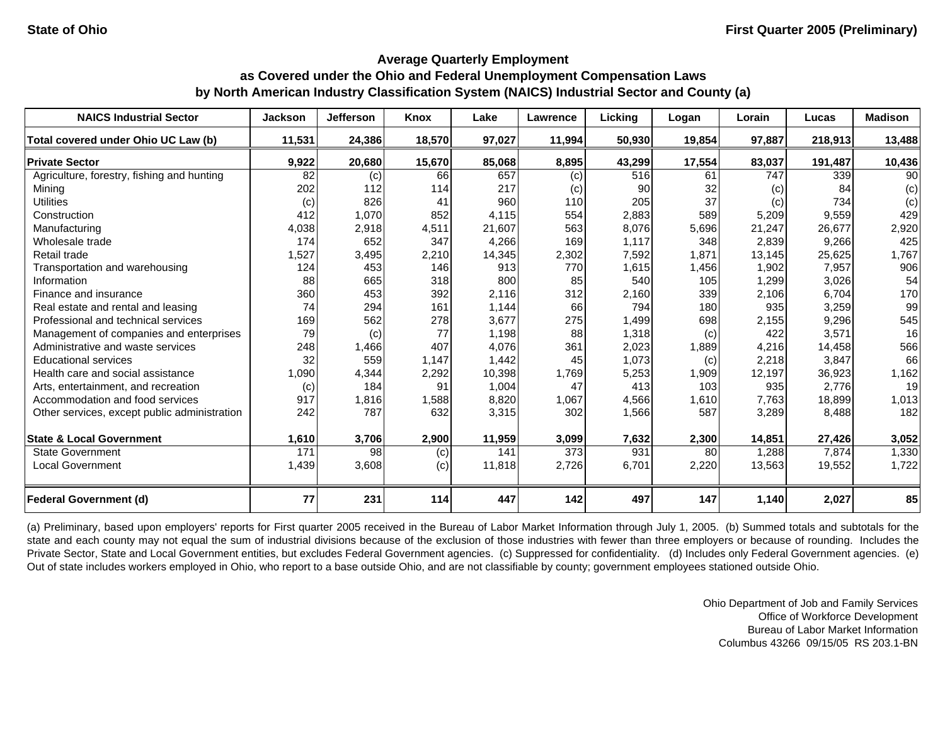| <b>NAICS Industrial Sector</b>               | Jackson | <b>Jefferson</b> | Knox   | Lake   | <b>Lawrence</b> | Licking | Logan  | Lorain | Lucas   | <b>Madison</b> |
|----------------------------------------------|---------|------------------|--------|--------|-----------------|---------|--------|--------|---------|----------------|
| Total covered under Ohio UC Law (b)          | 11,531  | 24,386           | 18,570 | 97,027 | 11,994          | 50,930  | 19,854 | 97,887 | 218,913 | 13,488         |
| <b>Private Sector</b>                        | 9,922   | 20,680           | 15,670 | 85,068 | 8,895           | 43,299  | 17,554 | 83,037 | 191,487 | 10,436         |
| Agriculture, forestry, fishing and hunting   | 82      | (c)              | 66     | 657    | (c)             | 516     | 61     | 747    | 339     | 90             |
| Mining                                       | 202     | 112              | 114    | 217    | (c)             | 90      | 32     | (c)    | 84      | (c)            |
| <b>Utilities</b>                             | (c)     | 826              | 41     | 960    | 110             | 205     | 37     | (c)    | 734     | (c)            |
| Construction                                 | 412     | 1,070            | 852    | 4,115  | 554             | 2,883   | 589    | 5,209  | 9,559   | 429            |
| Manufacturing                                | 4,038   | 2,918            | 4,511  | 21,607 | 563             | 8,076   | 5,696  | 21,247 | 26,677  | 2,920          |
| Wholesale trade                              | 174     | 652              | 347    | 4,266  | 169             | 1.117   | 348    | 2,839  | 9,266   | 425            |
| Retail trade                                 | 1,527   | 3,495            | 2,210  | 14,345 | 2,302           | 7,592   | 1,871  | 13,145 | 25,625  | 1,767          |
| Transportation and warehousing               | 124     | 453              | 146    | 913    | 770             | 1,615   | 1,456  | 1,902  | 7,957   | 906            |
| Information                                  | 88      | 665              | 318    | 800    | 85              | 540     | 105    | 1,299  | 3,026   | 54             |
| Finance and insurance                        | 360     | 453              | 392    | 2,116  | 312             | 2,160   | 339    | 2,106  | 6,704   | 170            |
| Real estate and rental and leasing           | 74      | 294              | 161    | 1,144  | 66              | 794     | 180    | 935    | 3,259   | 99             |
| Professional and technical services          | 169     | 562              | 278    | 3,677  | 275             | 1,499   | 698    | 2,155  | 9,296   | 545            |
| Management of companies and enterprises      | 79      | (c)              | 77     | 1,198  | 88              | 1,318   | (c)    | 422    | 3,571   | 16             |
| Administrative and waste services            | 248     | 1,466            | 407    | 4,076  | 361             | 2,023   | 1,889  | 4,216  | 14,458  | 566            |
| <b>Educational services</b>                  | 32      | 559              | 1,147  | 1,442  | 45              | 1,073   | (c)    | 2,218  | 3,847   | 66             |
| Health care and social assistance            | 1,090   | 4,344            | 2,292  | 10,398 | 1,769           | 5,253   | 1,909  | 12,197 | 36,923  | 1,162          |
| Arts, entertainment, and recreation          | (c)     | 184              | 91     | 1,004  | 47              | 413     | 103    | 935    | 2,776   | 19             |
| Accommodation and food services              | 917     | 1,816            | 1,588  | 8,820  | 1,067           | 4,566   | 1,610  | 7,763  | 18,899  | 1,013          |
| Other services, except public administration | 242     | 787              | 632    | 3,315  | 302             | 1,566   | 587    | 3,289  | 8,488   | 182            |
| <b>State &amp; Local Government</b>          | 1,610   | 3,706            | 2,900  | 11,959 | 3,099           | 7,632   | 2,300  | 14,851 | 27,426  | 3,052          |
| <b>State Government</b>                      | 171     | 98               | (c)    | 141    | 373             | 931     | 80     | 1,288  | 7,874   | 1,330          |
| <b>Local Government</b>                      | 1,439   | 3,608            | (c)    | 11,818 | 2,726           | 6,701   | 2,220  | 13,563 | 19,552  | 1,722          |
| <b>Federal Government (d)</b>                | 77      | 231              | 114    | 447    | 142             | 497     | 147    | 1,140  | 2,027   | 85             |

(a) Preliminary, based upon employers' reports for First quarter 2005 received in the Bureau of Labor Market Information through July 1, 2005. (b) Summed totals and subtotals for the state and each county may not equal the sum of industrial divisions because of the exclusion of those industries with fewer than three employers or because of rounding. Includes the Private Sector, State and Local Government entities, but excludes Federal Government agencies. (c) Suppressed for confidentiality. (d) Includes only Federal Government agencies. (e) Out of state includes workers employed in Ohio, who report to a base outside Ohio, and are not classifiable by county; government employees stationed outside Ohio.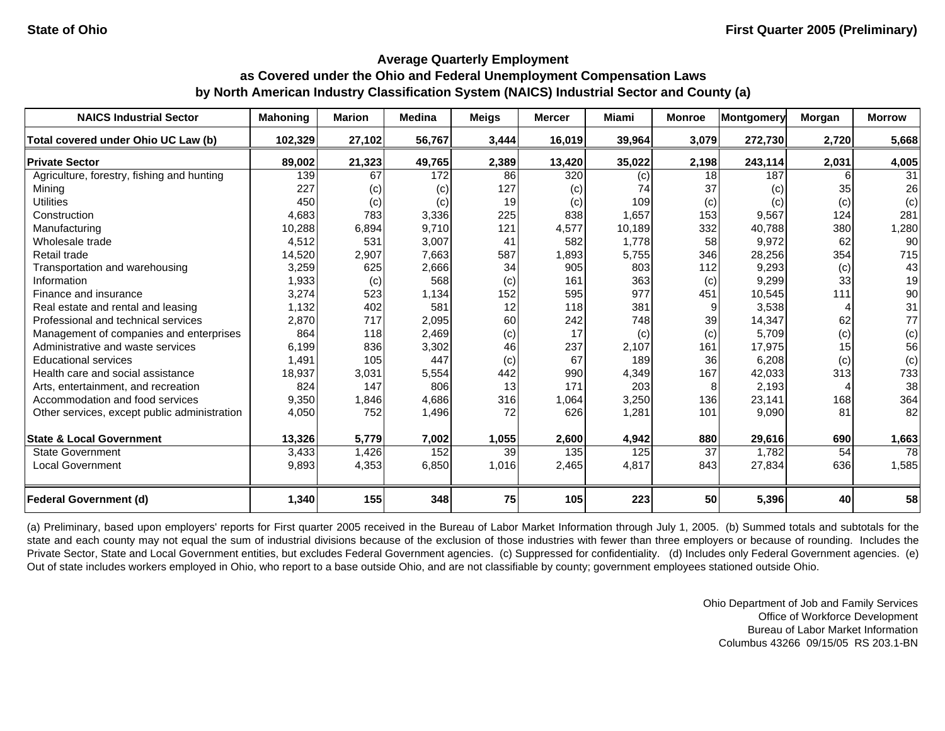| <b>NAICS Industrial Sector</b>               | <b>Mahoning</b> | <b>Marion</b> | <b>Medina</b> | <b>Meigs</b> | <b>Mercer</b> | <b>Miami</b> | <b>Monroe</b> | Montgomery | Morgan | <b>Morrow</b> |
|----------------------------------------------|-----------------|---------------|---------------|--------------|---------------|--------------|---------------|------------|--------|---------------|
| Total covered under Ohio UC Law (b)          | 102,329         | 27,102        | 56,767        | 3,444        | 16,019        | 39,964       | 3,079         | 272,730    | 2,720  | 5,668         |
| <b>Private Sector</b>                        | 89,002          | 21,323        | 49,765        | 2,389        | 13,420        | 35,022       | 2,198         | 243,114    | 2,031  | 4,005         |
| Agriculture, forestry, fishing and hunting   | 139             | 67            | 172           | 86           | 320           | (c)          | 18            | 187        |        | 31            |
| Mining                                       | 227             | (c)           | (c)           | 127          | (c)           | 74           | 37            | (c)        | 35     | 26            |
| <b>Utilities</b>                             | 450             | (c)           | (c)           | 19           | (c)           | 109          | (c)           | (c)        | (c)    | (c)           |
| Construction                                 | 4,683           | 783           | 3,336         | 225          | 838           | 1,657        | 153           | 9,567      | 124    | 281           |
| Manufacturing                                | 10,288          | 6,894         | 9,710         | 121          | 4,577         | 10,189       | 332           | 40,788     | 380    | 1,280         |
| Wholesale trade                              | 4,512           | 531           | 3,007         | 41           | 582           | 1,778        | 58            | 9,972      | 62     | 90            |
| Retail trade                                 | 14,520          | 2,907         | 7,663         | 587          | 1,893         | 5,755        | 346           | 28,256     | 354    | 715           |
| Transportation and warehousing               | 3,259           | 625           | 2,666         | 34           | 905           | 803          | 112           | 9,293      | (c)    | 43            |
| Information                                  | 1,933           | (c)           | 568           | (c)          | 161           | 363          | (c)           | 9,299      | 33     | 19            |
| Finance and insurance                        | 3,274           | 523           | 1,134         | 152          | 595           | 977          | 451           | 10,545     | 111    | 90            |
| Real estate and rental and leasing           | 1,132           | 402           | 581           | 12           | 118           | 381          | 9             | 3,538      |        | 31            |
| Professional and technical services          | 2,870           | 717           | 2,095         | 60           | 242           | 748          | 39            | 14,347     | 62     | 77            |
| Management of companies and enterprises      | 864             | 118           | 2,469         | (c)          | 17            | (c)          | (c)           | 5,709      | (c)    | (c)           |
| Administrative and waste services            | 6,199           | 836           | 3,302         | 46           | 237           | 2,107        | 161           | 17,975     | 15     | 56            |
| <b>Educational services</b>                  | 1,491           | 105           | 447           | (c)          | 67            | 189          | 36            | 6,208      | (c)    | (c)           |
| Health care and social assistance            | 18,937          | 3,031         | 5,554         | 442          | 990           | 4,349        | 167           | 42,033     | 313    | 733           |
| Arts, entertainment, and recreation          | 824             | 147           | 806           | 13           | 171           | 203          | 8             | 2,193      |        | 38            |
| Accommodation and food services              | 9,350           | 1,846         | 4,686         | 316          | 1,064         | 3,250        | 136           | 23,141     | 168    | 364           |
| Other services, except public administration | 4,050           | 752           | 1,496         | 72           | 626           | 1,281        | 101           | 9,090      | 81     | 82            |
| <b>State &amp; Local Government</b>          | 13,326          | 5,779         | 7,002         | 1,055        | 2,600         | 4,942        | 880           | 29,616     | 690    | 1,663         |
| <b>State Government</b>                      | 3,433           | 1,426         | 152           | 39           | 135           | 125          | 37            | 1,782      | 54     | 78            |
| <b>Local Government</b>                      | 9,893           | 4,353         | 6,850         | 1,016        | 2,465         | 4,817        | 843           | 27,834     | 636    | 1,585         |
| <b>Federal Government (d)</b>                | 1,340           | 155           | 348           | 75           | 105           | 223          | 50            | 5,396      | 40     | 58            |

(a) Preliminary, based upon employers' reports for First quarter 2005 received in the Bureau of Labor Market Information through July 1, 2005. (b) Summed totals and subtotals for the state and each county may not equal the sum of industrial divisions because of the exclusion of those industries with fewer than three employers or because of rounding. Includes the Private Sector, State and Local Government entities, but excludes Federal Government agencies. (c) Suppressed for confidentiality. (d) Includes only Federal Government agencies. (e) Out of state includes workers employed in Ohio, who report to a base outside Ohio, and are not classifiable by county; government employees stationed outside Ohio.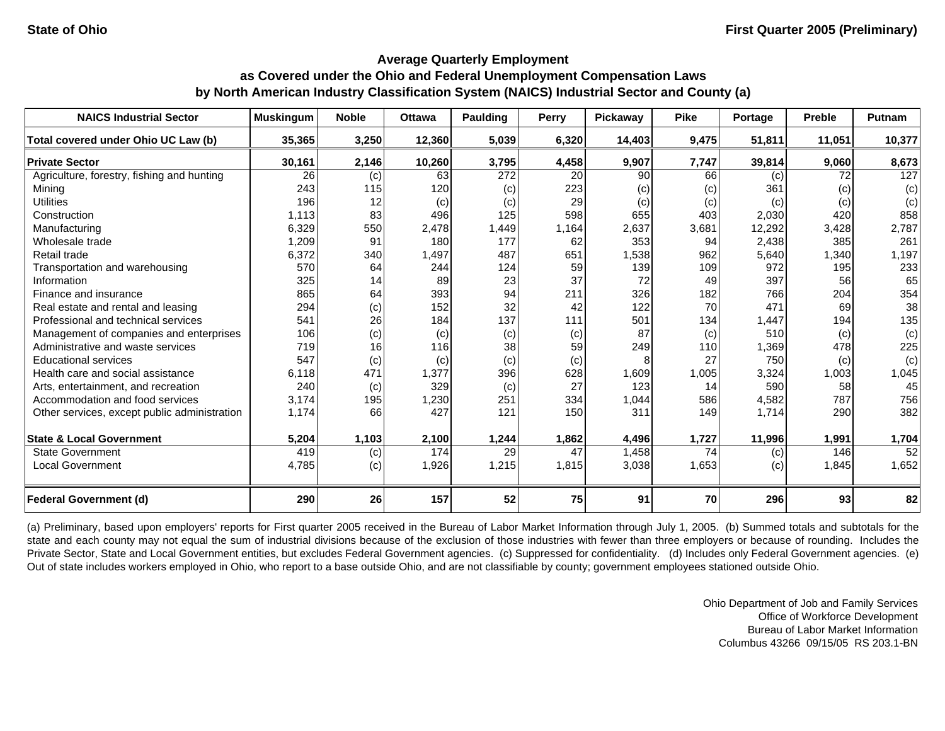| <b>NAICS Industrial Sector</b>               | <b>Muskingum</b> | <b>Noble</b> | <b>Ottawa</b> | <b>Paulding</b> | Perry | Pickawav | <b>Pike</b> | Portage | <b>Preble</b> | Putnam |
|----------------------------------------------|------------------|--------------|---------------|-----------------|-------|----------|-------------|---------|---------------|--------|
| Total covered under Ohio UC Law (b)          | 35,365           | 3,250        | 12,360        | 5,039           | 6,320 | 14,403   | 9,475       | 51,811  | 11,051        | 10,377 |
| <b>Private Sector</b>                        | 30,161           | 2,146        | 10,260        | 3,795           | 4,458 | 9,907    | 7,747       | 39,814  | 9,060         | 8,673  |
| Agriculture, forestry, fishing and hunting   | 26               | (c)          | 63            | 272             | 20    | 90       | 66          | (c)     | 72            | 127    |
| Mining                                       | 243              | 115          | 120           | (c)             | 223   | (c)      | (c)         | 361     | (c)           | (c)    |
| <b>Utilities</b>                             | 196              | 12           | (c)           | (c)             | 29    | (c)      | (c)         | (c)     | (c)           | (c)    |
| Construction                                 | 1,113            | 83           | 496           | 125             | 598   | 655      | 403         | 2,030   | 420           | 858    |
| Manufacturing                                | 6,329            | 550          | 2,478         | 1,449           | 1,164 | 2,637    | 3,681       | 12,292  | 3,428         | 2,787  |
| Wholesale trade                              | 1,209            | 91           | 180           | 177             | 62    | 353      | 94          | 2,438   | 385           | 261    |
| Retail trade                                 | 6,372            | 340          | 1,497         | 487             | 651   | 1,538    | 962         | 5,640   | 1,340         | 1,197  |
| Transportation and warehousing               | 570              | 64           | 244           | 124             | 59    | 139      | 109         | 972     | 195           | 233    |
| Information                                  | 325              | 14           | 89            | 23              | 37    | 72       | 49          | 397     | 56            | 65     |
| Finance and insurance                        | 865              | 64           | 393           | 94              | 211   | 326      | 182         | 766     | 204           | 354    |
| Real estate and rental and leasing           | 294              | (c)          | 152           | 32              | 42    | 122      | 70          | 471     | 69            | 38     |
| Professional and technical services          | 541              | 26           | 184           | 137             | 111   | 501      | 134         | 1,447   | 194           | 135    |
| Management of companies and enterprises      | 106              | (c)          | (c)           | (c)             | (c)   | 87       | (c)         | 510     | (c)           | (c)    |
| Administrative and waste services            | 719              | 16           | 116           | 38              | 59    | 249      | 110         | 1,369   | 478           | 225    |
| <b>Educational services</b>                  | 547              | (c)          | (c)           | (c)             | (c)   |          | 27          | 750     | (c)           | (c)    |
| Health care and social assistance            | 6,118            | 471          | 1,377         | 396             | 628   | 1,609    | 1,005       | 3,324   | 1,003         | 1,045  |
| Arts, entertainment, and recreation          | 240              | (c)          | 329           | (c)             | 27    | 123      | 14          | 590     | 58            | 45     |
| Accommodation and food services              | 3,174            | 195          | 1,230         | 251             | 334   | 1,044    | 586         | 4,582   | 787           | 756    |
| Other services, except public administration | 1,174            | 66           | 427           | 121             | 150   | 311      | 149         | 1,714   | 290           | 382    |
| <b>State &amp; Local Government</b>          | 5,204            | 1,103        | 2,100         | 1,244           | 1,862 | 4,496    | 1,727       | 11,996  | 1,991         | 1,704  |
| <b>State Government</b>                      | 419              | (c)          | 174           | 29              | 47    | 1,458    | 74          | (c)     | 146           | 52     |
| <b>Local Government</b>                      | 4,785            | (c)          | 1,926         | 1,215           | 1,815 | 3,038    | 1,653       | (c)     | 1,845         | 1,652  |
| <b>Federal Government (d)</b>                | 290              | 26           | 157           | 52              | 75    | 91       | 70          | 296     | 93            | 82     |

(a) Preliminary, based upon employers' reports for First quarter 2005 received in the Bureau of Labor Market Information through July 1, 2005. (b) Summed totals and subtotals for the state and each county may not equal the sum of industrial divisions because of the exclusion of those industries with fewer than three employers or because of rounding. Includes the Private Sector, State and Local Government entities, but excludes Federal Government agencies. (c) Suppressed for confidentiality. (d) Includes only Federal Government agencies. (e) Out of state includes workers employed in Ohio, who report to a base outside Ohio, and are not classifiable by county; government employees stationed outside Ohio.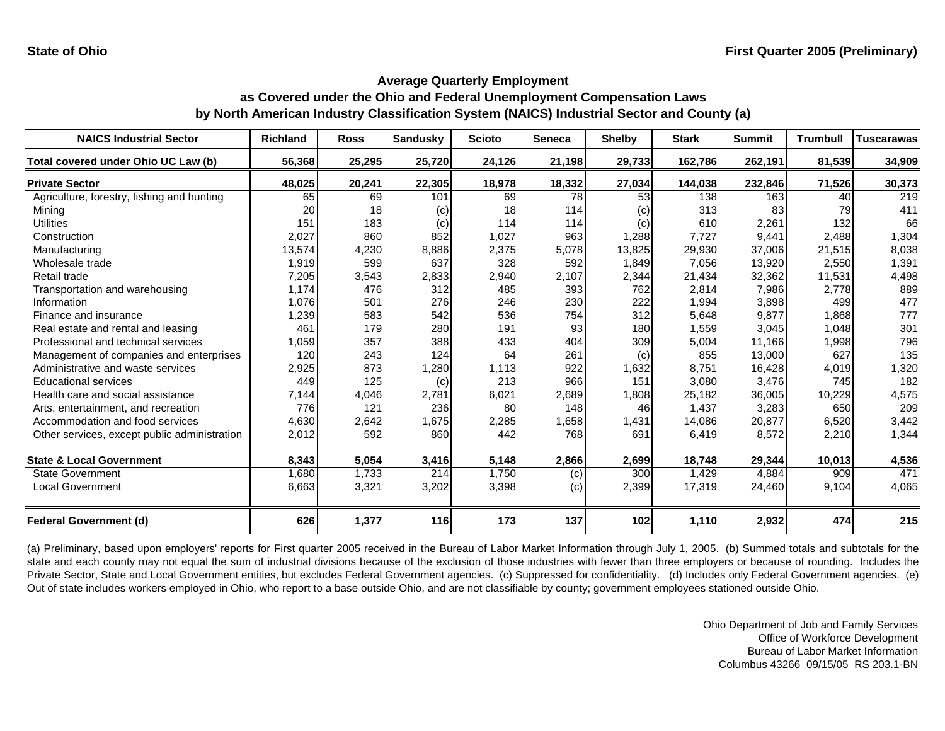| <b>NAICS Industrial Sector</b>               | <b>Richland</b> | <b>Ross</b> | <b>Sandusky</b> | <b>Scioto</b> | Seneca | <b>Shelby</b> | <b>Stark</b> | <b>Summit</b> | <b>Trumbull</b> | <b>Tuscarawas</b> |
|----------------------------------------------|-----------------|-------------|-----------------|---------------|--------|---------------|--------------|---------------|-----------------|-------------------|
| Total covered under Ohio UC Law (b)          | 56,368          | 25,295      | 25,720          | 24,126        | 21,198 | 29,733        | 162,786      | 262,191       | 81,539          | 34,909            |
| <b>Private Sector</b>                        | 48,025          | 20,241      | 22,305          | 18,978        | 18,332 | 27,034        | 144,038      | 232,846       | 71,526          | 30,373            |
| Agriculture, forestry, fishing and hunting   | 65              | 69          | 101             | 69            | 78     | 53            | 138          | 163           | 40              | 219               |
| Mining                                       | 20              | 18          | (c)             | 18            | 114    | (c)           | 313          | 83            | 79              | 411               |
| Utilities                                    | 151             | 183         | (c)             | 114           | 114    | (c)           | 610          | 2,261         | 132             | 66                |
| Construction                                 | 2,027           | 860         | 852             | 1,027         | 963    | 1,288         | 7,727        | 9,441         | 2,488           | 1,304             |
| Manufacturing                                | 13,574          | 4,230       | 8,886           | 2,375         | 5,078  | 13,825        | 29,930       | 37,006        | 21,515          | 8,038             |
| Wholesale trade                              | 1,919           | 599         | 637             | 328           | 592    | 1,849         | 7,056        | 13,920        | 2,550           | 1,391             |
| Retail trade                                 | 7,205           | 3,543       | 2,833           | 2,940         | 2,107  | 2,344         | 21,434       | 32,362        | 11,531          | 4,498             |
| Transportation and warehousing               | 1,174           | 476         | 312             | 485           | 393    | 762           | 2,814        | 7,986         | 2,778           | 889               |
| Information                                  | 1,076           | 501         | 276             | 246           | 230    | 222           | 1,994        | 3,898         | 499             | 477               |
| Finance and insurance                        | 1,239           | 583         | 542             | 536           | 754    | 312           | 5,648        | 9,877         | 1,868           | 777               |
| Real estate and rental and leasing           | 461             | 179         | 280             | 191           | 93     | 180           | 1,559        | 3,045         | 1,048           | 301               |
| Professional and technical services          | 1,059           | 357         | 388             | 433           | 404    | 309           | 5,004        | 11,166        | 1,998           | 796               |
| Management of companies and enterprises      | 120             | 243         | 124             | 64            | 261    | (c)           | 855          | 13,000        | 627             | 135               |
| Administrative and waste services            | 2,925           | 873         | 1,280           | 1,113         | 922    | 1,632         | 8,751        | 16,428        | 4,019           | 1,320             |
| <b>Educational services</b>                  | 449             | 125         | (c)             | 213           | 966    | 151           | 3,080        | 3,476         | 745             | 182               |
| Health care and social assistance            | 7,144           | 4,046       | 2,781           | 6,021         | 2,689  | 1,808         | 25,182       | 36,005        | 10,229          | 4,575             |
| Arts, entertainment, and recreation          | 776             | 121         | 236             | 80            | 148    | 46            | 1,437        | 3,283         | 650             | 209               |
| Accommodation and food services              | 4,630           | 2,642       | 1,675           | 2,285         | 1,658  | 1,431         | 14,086       | 20,877        | 6,520           | 3,442             |
| Other services, except public administration | 2,012           | 592         | 860             | 442           | 768    | 691           | 6,419        | 8,572         | 2,210           | 1,344             |
| <b>State &amp; Local Government</b>          | 8,343           | 5,054       | 3,416           | 5,148         | 2,866  | 2,699         | 18,748       | 29,344        | 10,013          | 4,536             |
| <b>State Government</b>                      | 1,680           | 1.733       | 214             | 1,750         | (c)    | 300           | 1.429        | 4,884         | 909             | 471               |
| <b>Local Government</b>                      | 6,663           | 3,321       | 3,202           | 3,398         | (c)    | 2,399         | 17,319       | 24,460        | 9,104           | 4,065             |
| <b>Federal Government (d)</b>                | 626             | 1,377       | 116             | 173           | 137    | 102           | 1,110        | 2,932         | 474             | 215               |

(a) Preliminary, based upon employers' reports for First quarter 2005 received in the Bureau of Labor Market Information through July 1, 2005. (b) Summed totals and subtotals for the state and each county may not equal the sum of industrial divisions because of the exclusion of those industries with fewer than three employers or because of rounding. Includes the Private Sector, State and Local Government entities, but excludes Federal Government agencies. (c) Suppressed for confidentiality. (d) Includes only Federal Government agencies. (e) Out of state includes workers employed in Ohio, who report to a base outside Ohio, and are not classifiable by county; government employees stationed outside Ohio.